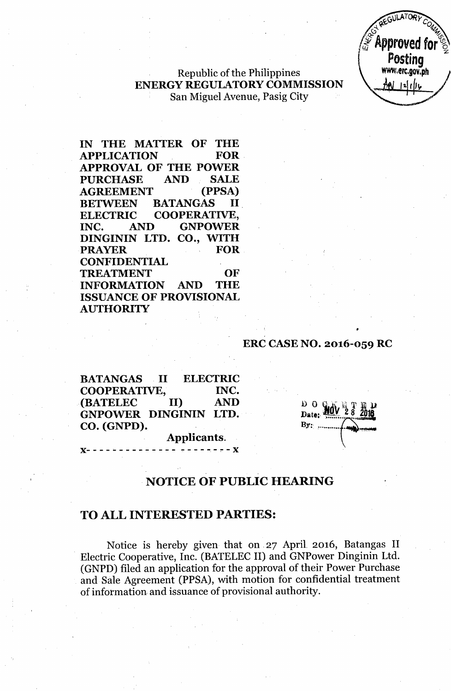

# Republic of the Philippines ENERGY REGULATORY COMMISSION San Miguel Avenue, Pasig City

IN THE MATTER OF THE<br>APPLICATION FOR **APPLICATION** APPROVAL OF THE POWER PURCHASE AND SALE AGREEMENT (PPSA) BETWEEN BATANGAS II ELECTRIC COOPERATIVE, INC. AND GNPOWER DINGININ LTD. CO., WITH PRAYER FOR **CONFIDENTIAL** TREATMENT OF INFORMATION AND THE ISSUANCE OF PROVISIONAL **AUTHORITY** 

## ERC CASE NO. 2016-059 RC

| <b>BATANGAS</b>       | $\blacksquare$ |                          | <b>ELECTRIC</b> |
|-----------------------|----------------|--------------------------|-----------------|
| <b>COOPERATIVE,</b>   |                |                          | INC.            |
| <b>(BATELEC</b>       | II)            |                          | <b>AND</b>      |
| GNPOWER DINGININ LTD. |                |                          |                 |
| CO. (GNPD).           |                |                          |                 |
|                       |                | Applicants.              |                 |
|                       |                | ------- ------- <b>X</b> |                 |

 $D$   $O$   $C$ Date:  $Br.$ 

•

# NOTICE OF PUBLIC HEARING

## TO ALL INTERESTED PARTIES:

Notice is hereby given that on. 27 April. 2016, Batangas II . Electric Cooperative, Inc. (BATELEC II) and GNPower Dinginin Ltd. (GNPD) filed an application for the approval of their Power Purchase and Sale Agreement (PPSA), with motion for confidential treatment of information and issuance of provisional authority.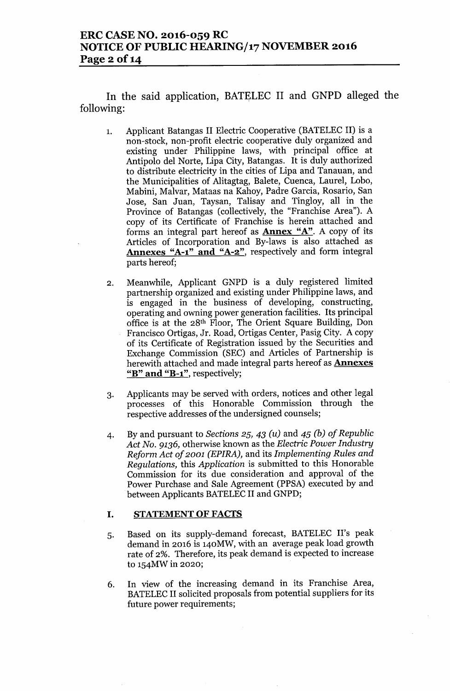In the said application, BATELEC II and GNPD alleged the following:

- 1. Applicant Batangas II Electric Cooperative (BATELEC II) is a non-stock, non-profit electric cooperative duly organized and existing under Philippine laws, with principal office at Antipolo del Norte, Lipa City, Batangas. It is duly authorized to distribute electricity in the cities of Lipa and Tanauan, and the Municipalities of Alitagtag, Balete, Cuenca, Laurel, Lobo, Mabini, Malvar, Mataas na Kahoy, Padre Garcia, Rosario, San Jose, San Juan, Taysan, Talisay and Tingloy, all in the Province of Batangas (collectively, the "Franchise Area"). A copy of its Certificate of Franchise is herein attached and forms an integral part hereof as Annex "A". A copy of its Articles of Incorporation and By-laws is also attached as Annexes "A-1" and "A-2", respectively and form integral parts hereof;
- 2. Meanwhile, Applicant GNPD is a duly registered limited partnership organized and existing under Philippine laws, and is engaged in the business of developing, constructing, operating and owning power generation facilities. Its principal office is at the 28th Floor, The Orient Square Building, Don Francisco Ortigas, Jr. Road, Ortigas Center, Pasig City. A copy of its Certificate of Registration issued by the Securities and Exchange Commission (SEC) and Articles of Partnership is herewith attached and made integral parts hereof as **Annexes** "B" and "B-1", respectively;
- 3. Applicants may be served with orders, notices and other legal processes of this Honorable Commission through the respective addresses of the undersigned counsels;
- 4. By and pursuant to *Sections* 25, 43 *(u)* and 45 *(b) of Republic Act No.* 9136, otherwise known as the *Electric Power Industry Reform Act of 2001 (EPIRA),* and its *Implementing Rules and Regulations,* this *Application* is submitted to this Honorable Commission for its due consideration and approval of the Power Purchase and Sale Agreement (PPSA) executed by and between Applicants BATELEC II and GNPD;

## I. STATEMENT OF FACTS

- 5. Based on its supply-demand forecast, BATELEC II's peak demand in 2016 is 140MW, with an average peak load growth rate of 2%. Therefore, its peak demand is expected to increase to 154MW in 2020;
- 6. In view of the increasing demand in its Franchise Area, BATELEC II solicited proposals from potential suppliers for its future power requirements;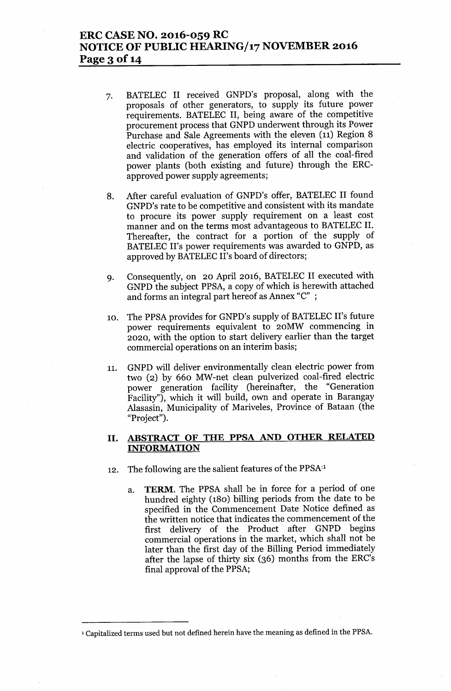## ERC CASE NO. 2016-059 RC NOTICE OF PUBLIC *HEARINGJ17* NOVEMBER 2016 Page 3 of 14

- 7. BATELEC II received GNPD's proposal, along with the proposals of other generators, to supply its future power requirements. BATELEC II, being aware of the competitive procurement process that GNPD underwent through its Power Purchase and Sale Agreements with the eleven (11) Region 8 electric cooperatives, has employed its internal comparison and validation of the generation offers of all the coal-fired power plants (both existing and future) through the ERCapproved power supply agreements;
- 8. After careful evaluation of GNPD's offer, BATELEC II found GNPD's rate to be competitive and consistent with its mandate to procure its power supply requirement on a least cost manner and on the terms most advantageous to BATELEC II. Thereafter, the contract for a portion of the supply of BATELEC II's power requirements was awarded to GNPD, as approved by BATELEC II's board of directors;
- 9. Consequently, on 20 April 2016, BATELEC II executed with GNPD the subject PPSA, a copy of which is herewith attached and forms an integral part hereof as Annex "C" ;
- 10. The PPSA provides for GNPD's supply of BATELEC II's future power requirements equivalent to 20MW commencing in 2020, with the option to start delivery earlier than the target commercial operations on an interim basis;
- 11. GNPD will deliver environmentally clean electric power from two (2) by 660 MW-net clean pulverized coal-fired electric power generation facility (hereinafter, the "Generation Facility"), which it will build, own and operate in Barangay Alasasin, Municipality of Mariveles, Province of Bataan (the "Project").

## II. ABSTRACT OF THE PPSA AND OTHER RELATED INFORMATION

- 12. The following are the salient features of the PPSA<sup>11</sup>
	- a. TERM. The PPSA shall be in force for a period of one hundred eighty (180) billing periods from the date to be specified in the Commencement Date Notice defined as the written notice that indicates the commencement of the first delivery of the Product after GNPD begins commercial operations in the market, which shall not be later than the first day of the Billing Period immediately after the lapse of thirty six (36) months from the ERC's final approval of the PPSA;

<sup>&</sup>lt;sup>1</sup> Capitalized terms used but not defined herein have the meaning as defined in the PPSA.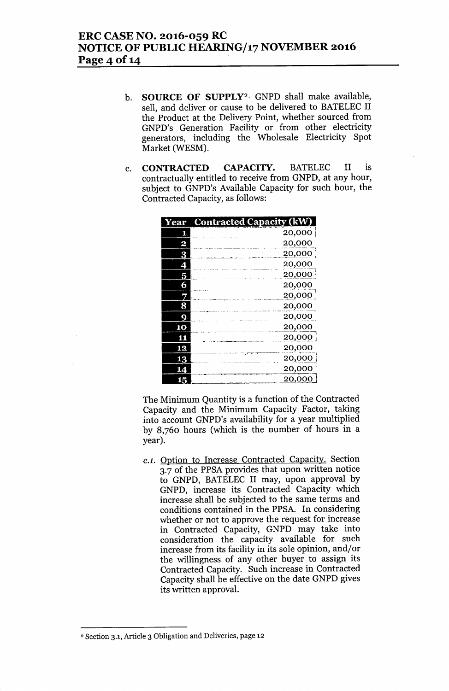# ERC CASE NO. 2016-059 RC NOTICE OF PUBLIC HEARING/17 NOVEMBER 2016 Page 4 of 14

- b. SOURCE OF SUPPLY<sup>2</sup> GNPD shall make available, sell, and deliver or cause to be delivered to BATELEC II the Product at the Delivery Point, whether sourced from GNPD's Generation Facility or from other electricity generators, including the Wholesale Electricity Spot Market (WESM).
- c. CONTRACTED CAPACITY. BATELEC II is contractually entitled to receive from GNPD, at any hour, subject to GNPD's Available Capacity for such hour, the Contracted Capacity, as follows:

| ear | <b>Contracted Capacity (kW)</b> |
|-----|---------------------------------|
| 1.  | 20,000                          |
|     | 20,000                          |
|     | 20,000                          |
|     | 20,000                          |
|     | 20,000                          |
|     | 20,000                          |
|     | 20,000                          |
|     | 20,000                          |
|     | 20,000                          |
| 10  | 20,000                          |
| 11  | 20,000                          |
| 12  | 20,000                          |
| 13  | 20,000                          |
|     | 20,000                          |
| 15  | 20,000                          |

The Minimum Quantity is a function of the Contracted Capacity and the Minimum Capacity Factor, taking into account GNPD's availability for a year multiplied by 8,760 hours (which is the number of hours in a year).

*C.l.* Option to Increase Contracted Capacity. Section 3.7 of the PPSA provides that upon written notice to GNPD, BATELEC II may, upon approval by GNPD, increase its Contracted Capacity which increase shall be subjected to the same terms and conditions contained in the PPSA. In considering whether or not to approve the request for increase in Contracted Capacity, GNPD may take into consideration the capacity available for such increase from its facility in its sole opinion, and/or the willingness of any other buyer to assign its Contracted Capacity. Such increase in Contracted Capacity shall be effective on the date GNPD gives its written approval.

<sup>2</sup> Section 3.1, Article 3 Obligation and Deliveries, page 12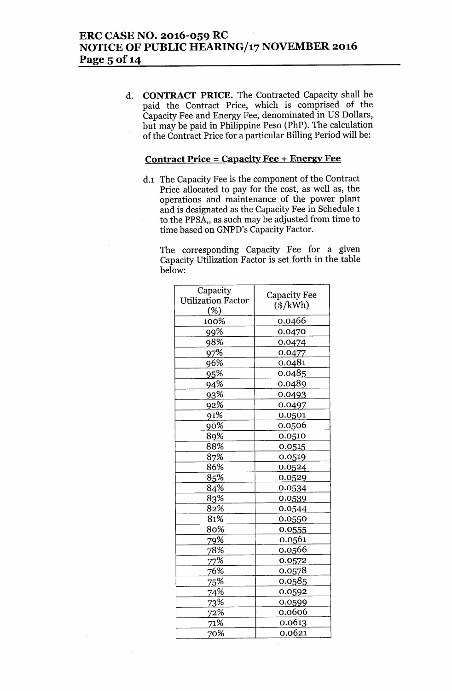d. **CONTRACT PRICE.** The Contracted Capacity shall be paid the Contract Price, which is comprised of the Capacity Fee and Energy Fee, denominated in US Dollars, but may be paid in Philippine Peso (PhP). The calculation of the Contract Price for a particular Billing Period will be:

#### **Contract Price = Capacity Fee + Energy Fee**

d.1 The Capacity Fee is the component of the Contract Price allocated to pay for the cost, as well as, the operations and maintenance of the power plant and is designated as the Capacity Fee in Schedule 1 to the PPSA,, as such may be adjusted from time to time based on GNPD's Capacity Factor.

The corresponding Capacity Fee for a given Capacity Utilization Factor is set forth in the table below:

| Capacity                         | <b>Capacity Fee</b> |
|----------------------------------|---------------------|
| <b>Utilization Factor</b><br>(%) | $(*/kWh)$           |
| 100%                             | 0.0466              |
| 99%                              | 0.0470              |
| 98%                              | 0.0474              |
| 97%                              | 0.0477              |
| 96%                              | 0.0481              |
| 95%                              | 0.0485              |
| 94%                              | 0.0489              |
| 93%                              | 0.0493              |
| 92%                              | 0.0497              |
| 91%                              | 0.0501              |
| 90%                              | 0.0506              |
| 89%                              | 0.0510              |
| 88%                              | 0.0515              |
| 87%                              | 0.0519              |
| 86%                              | 0.0524              |
| 85%                              | 0.0529              |
| 84%                              | 0.0534              |
| 83%                              | 0.0539              |
| 82%                              | 0.0544              |
| 81%                              | 0.0550              |
| 80%                              | 0.0555              |
| 79%                              | 0.0561              |
| 78%                              | 0.0566              |
| 77%                              | 0.0572              |
| 76%                              | 0.0578              |
| 75%                              | 0.0585              |
| 74%                              | 0.0592              |
| 73%                              | 0.0599              |
| 72%                              | 0.0606              |
| 71%                              | 0.0613              |
| 70%                              | 0.0621              |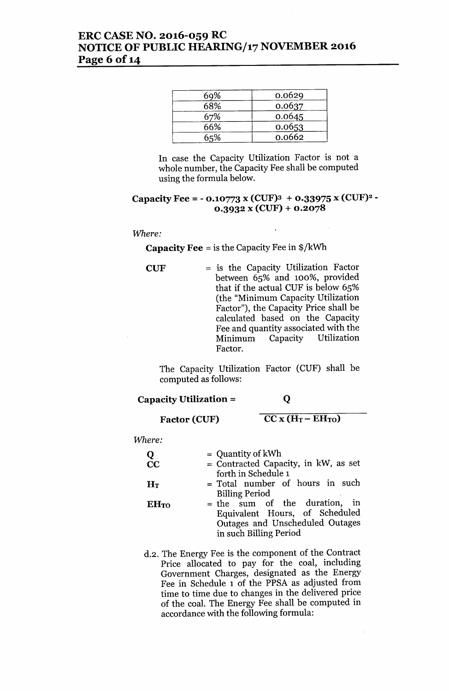# ERC CASE NO. 2016-059 RC NOTICE OF PUBLIC HEARING/17 NOVEMBER 2016 Page 6 of 14

| 69% | 0.0629 |
|-----|--------|
| 68% | 0.0637 |
| 67% | 0.0645 |
| 66% | 0.0653 |
| 65% | 0.0662 |

In case the Capacity Utilization Factor is not a whole number, the Capacity Fee shall be computed using the formula below.

## Capacity Fee = - 0.10773 x (CUF)<sup>3</sup> + 0.33975 x (CUF)<sup>2</sup> - $0.3932 x (CUF) + 0.2078$

## *Where:*

## **Capacity Fee** = is the Capacity Fee in  $\frac{1}{2}$ /kWh

 $CUF = is the Capacity Utilization Factor$ between 65% and 100%, provided that if the actual CUF is below 65% (the "Minimum Capacity Utilization Factor"), the Capacity Price shall be calculated based on the Capacity Fee and quantity associated with the Minimum Capacity Utilization Factor.

The Capacity Utilization Factor (CUF) shall be computed as follows:

## Capacity Utilization =

## Q

Factor (CUF)

 $\overline{CC X (H_T - EH_{TO})}$ 

*Where:*

| Q<br>$\overline{\text{CC}}$ | $=$ Quantity of kWh<br>$=$ Contracted Capacity, in kW, as set<br>forth in Schedule 1                                         |
|-----------------------------|------------------------------------------------------------------------------------------------------------------------------|
| $H_T$                       | = Total number of hours in such<br><b>Billing Period</b>                                                                     |
| <b>EHTO</b>                 | = the sum of the duration, in<br>Equivalent Hours, of Scheduled<br>Outages and Unscheduled Outages<br>in such Billing Period |

d.2. The Energy Fee is the component of the Contract Price allocated to pay for the coal, including Government Charges, designated as the Energy Fee in Schedule 1 of the PPSA as adjusted from time to time due to changes in the delivered price of the coal. The Energy Fee shall be computed in accordance with the following formula: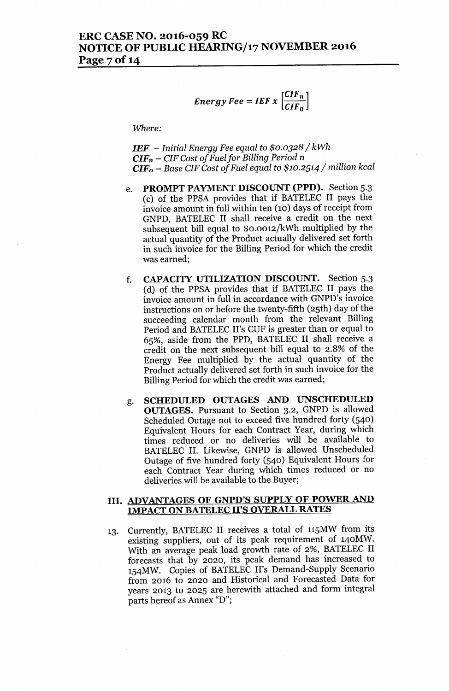$$
Energy\,Fee = IEF \times \left[\frac{CIF_n}{CIF_0}\right]
$$

*Where:*

*IEF - Initial Energy Fee equal* to *\$0.0328/ kWh CIFn - CIF Cost of Fuelfor Billing Period* n *CIFo - Base CIF Cost of Fuel equal* to *\$10.2514/ million kcal*

- e. PROMPT PAYMENT DISCOUNT (PPD). Section 5.3 (c) of the PPSA provides that if BATELEC II pays the invoice amount in full within ten (10) days of receipt from GNPD, BATELEC II shall receive a credit on the next subsequent bill equal to \$0.0012/kWh multiplied by the actual quantity of the Product actually delivered set forth in such invoice for the Billing Period for which the credit was earned;
- f. CAPACITY UTILIZATION DISCOUNT. Section 5.3 (d) of the PPSA provides that if BATELEC II pays the invoice amount in full in accordance with GNPD's invoice instructions on or before the twenty-fifth (25th) day of the succeeding calendar month from the relevant Billing Period and BATELEC II's CUF is greater than or equal to 65%, aside from the PPD, BATELEC II shall receive a credit on the next subsequent bill equal to 2.8% of the Energy Fee multiplied by the actual quantity of the Product actually delivered set forth in such invoice for the Billing Period for which the credit was earned;
- g. SCHEDULED OUTAGES AND UNSCHEDULED OUTAGES. Pursuant to Section 3.2, GNPD is allowed Scheduled Outage not to exceed five hundred forty (540) Equivalent Hours for each Contract Year, during which times reduced or no deliveries will be available to BATELEC II. Likewise, GNPD is allowed Unscheduled Outage of five hundred forty (540) Equivalent Hours for each Contract Year during which times reduced or no deliveries will be available to the Buyer;

## III. ADVANTAGES OF GNPD'S SUPPLY OF POWER AND IMPACT ON BATELEC II'S OVERALL RATES

13. Currently, BATELEC II receives a total of 115MW from its existing suppliers, out of its peak requirement of 140MW. With an average peak load growth rate of 2%, BATELEC II forecasts that by 2020, its peak demand has increased to 154MW. Copies of BATELEC II's Demand-Supply Scenario from 2016 to 2020 and Historical and Forecasted Data for years 2013 to 2025 are herewith attached and form integral parts hereof as Annex "D";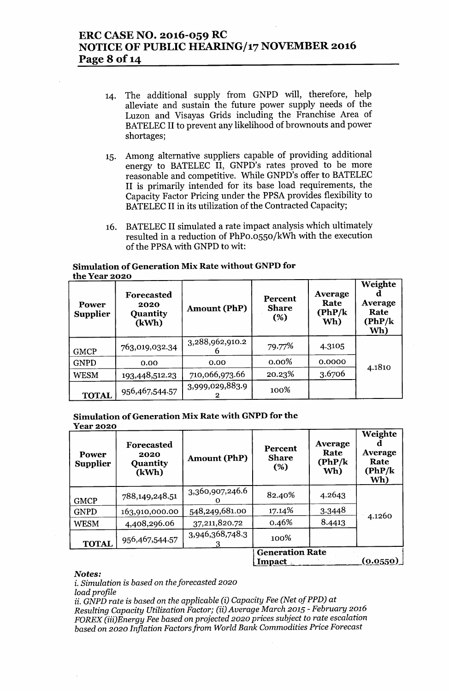# ERC CASE NO. 2016-059 RC NOTICE OF PUBLIC HEARING/17 NOVEMBER 2016 Page 8 of 14

- 14. The additional supply from GNPD will, therefore, help alleviate and sustain the future power supply needs of the Luzon and Visayas Grids including the Franchise Area of BATELEC II to prevent any likelihood of brownouts and power shortages;
- 15. Among alternative suppliers capable of providing additional energy to BATELEC II, GNPD's rates proved to be more reasonable and competitive. While GNPD's offer to BATELEC II is primarily intended for its base load requirements, the Capacity Factor Pricing under the PPSA provides flexibility to BATELEC II in its utilization of the Contracted Capacity;
- 16. BATELEC II simulated a rate impact analysis which ultimately resulted in a reduction of PhPo.0550/kWh with the execution of the PPSA with GNPD to wit:

## Simulation of Generation Mix Rate without GNPD for the Year 2020

| Power<br><b>Supplier</b> | Forecasted<br>2020<br>Quantity<br>(kWh) | <b>Amount (PhP)</b>  | <b>Percent</b><br><b>Share</b><br>(%) | Average<br>Rate<br>(PhP/k)<br>Wh) | Weighte<br>Average<br>Rate<br>(PhP/k)<br>Wh) |
|--------------------------|-----------------------------------------|----------------------|---------------------------------------|-----------------------------------|----------------------------------------------|
| <b>GMCP</b>              | 763,019,032.34                          | 3,288,962,910.2<br>h | 79.77%                                | 4.3105                            |                                              |
| <b>GNPD</b>              | 0.00                                    | 0.00                 | $0.00\%$                              | 0.0000                            | 4.1810                                       |
| <b>WESM</b>              | 193,448,512.23                          | 710,066,973.66       | 20.23%                                | 3.6706                            |                                              |
| <b>TOTAL</b>             | 956,467,544.57                          | 3,999,029,883.9      | 100%                                  |                                   |                                              |

# Simulation of Generation Mix Rate with GNPD for the

| Year 2020 |
|-----------|
|           |

| Power<br><b>Supplier</b> | Forecasted<br>2020<br><b>Quantity</b><br>(kWh) | <b>Amount (PhP)</b> | Percent<br><b>Share</b><br>(%)   | Average<br>Rate<br>(PhP/k)<br>Wh) | Weighte<br>Average<br>Rate<br>(PhP/k)<br>Wh) |
|--------------------------|------------------------------------------------|---------------------|----------------------------------|-----------------------------------|----------------------------------------------|
| <b>GMCP</b>              | 788,149,248.51                                 | 3,360,907,246.6     | 82.40%                           | 4.2643                            |                                              |
| <b>GNPD</b>              | 163,910,000.00                                 | 548,249,681.00      | 17.14%                           | 3.3448                            | 4.1260                                       |
| <b>WESM</b>              | 4,408,296.06                                   | 37,211,820.72       | 0.46%                            | 8.4413                            |                                              |
| <b>TOTAL</b>             | 956,467,544.57                                 | 3,946,368,748.3     | 100%                             |                                   |                                              |
|                          |                                                |                     | <b>Generation Rate</b><br>Impact |                                   | <u>(0.0550)</u>                              |

#### Notes:

i. *Simulation* is *based* on *the forecasted 2020*

*load profile*

ii. *GNPD rate* is *based* on *the applicable (i) Capacity Fee (Net of PPD)* at *Resulting Capacity Utilization Factor; (ii) Average March 2015 - February 2016 FOREX (iii)Energy Fee based* on *projected 2020 prices subject* to *rate escalation based* on *2020 Inflation Factorsfrom World Bank Commodities Price Forecast*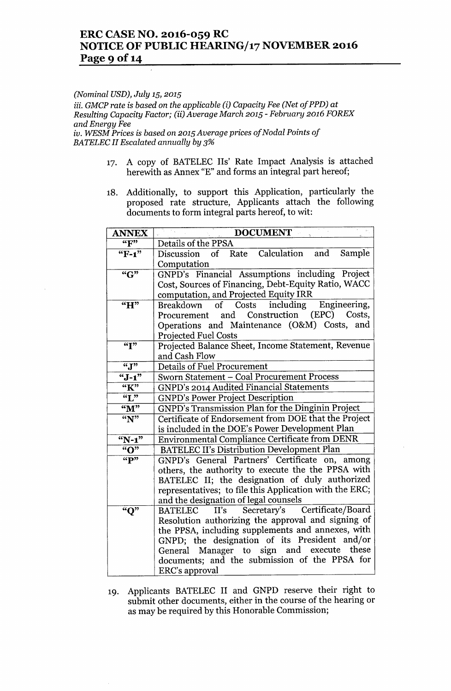# ERC CASE NO. 2016-059 RC NOTICE OF PUBLIC HEARING/17 NOVEMBER 2016 Page 9 of 14

#### *(Nominal USD), July* 15, *2015*

*iii. GMCP rate* is *based* on *the applicable (i) Capacity Fee (Net of PPD) at Resulting Capacity Factor; (ii) Average March 2015 - February 2016 FOREX and Energy Fee iv. WESM Prices* is *based* on *2015 Average prices of Nodal Points of BATELEC II Escalated annually by 3%*

- 17. A copy of BATELEC lIs' Rate Impact Analysis is attached herewith as Annex "E" and forms an integral part hereof;
- 18. Additionally, to support this Application, particularly the proposed rate structure, Applicants attach the following documents to form integral parts hereof, to wit:

| <b>ANNEX</b>       | <b>DOCUMENT</b>                                            |  |  |
|--------------------|------------------------------------------------------------|--|--|
| ``F"               | Details of the PPSA                                        |  |  |
| "F-1"              | Rate Calculation and Sample<br>Discussion of               |  |  |
|                    | Computation                                                |  |  |
| "G"                | GNPD's Financial Assumptions including Project             |  |  |
|                    | Cost, Sources of Financing, Debt-Equity Ratio, WACC        |  |  |
|                    | computation, and Projected Equity IRR                      |  |  |
| "H"                | of Costs including Engineering,<br>Breakdown               |  |  |
|                    | Procurement and Construction (EPC) Costs,                  |  |  |
|                    | Operations and Maintenance (O&M) Costs, and                |  |  |
|                    | <b>Projected Fuel Costs</b>                                |  |  |
| ``I"               | Projected Balance Sheet, Income Statement, Revenue         |  |  |
|                    | and Cash Flow                                              |  |  |
| ``J"               | <b>Details of Fuel Procurement</b>                         |  |  |
| $``J-1"$           | Sworn Statement - Coal Procurement Process                 |  |  |
| "К"                | <b>GNPD's 2014 Audited Financial Statements</b>            |  |  |
| $\overline{``L"'}$ | <b>GNPD's Power Project Description</b>                    |  |  |
| "M"                | <b>GNPD's Transmission Plan for the Dinginin Project</b>   |  |  |
| $\mathbf{``N''}$   | Certificate of Endorsement from DOE that the Project       |  |  |
|                    | is included in the DOE's Power Development Plan            |  |  |
| $N-1"$             | Environmental Compliance Certificate from DENR             |  |  |
| "O"                | <b>BATELEC II's Distribution Development Plan</b>          |  |  |
| $``\overline{P"}$  | GNPD's General Partners' Certificate on, among             |  |  |
|                    | others, the authority to execute the the PPSA with         |  |  |
|                    | BATELEC II; the designation of duly authorized             |  |  |
|                    | representatives; to file this Application with the ERC;    |  |  |
|                    | and the designation of legal counsels                      |  |  |
| "Q"                | Certificate/Board<br>Secretary's<br><b>BATELEC</b><br>II's |  |  |
|                    | Resolution authorizing the approval and signing of         |  |  |
|                    | the PPSA, including supplements and annexes, with          |  |  |
|                    | GNPD; the designation of its President and/or              |  |  |
|                    | General Manager to sign and execute these                  |  |  |
|                    | documents; and the submission of the PPSA for              |  |  |
|                    | ERC's approval                                             |  |  |

19. Applicants BATELEC II and GNPD reserve their right to submit other documents, either in the course of the hearing or as may be required by this Honorable Commission;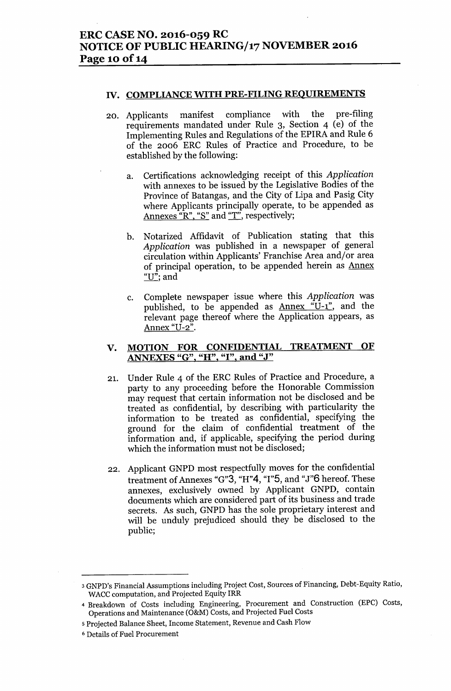#### IV. COMPLIANCE WITH PRE-FILING REQUIREMENTS

- 20. Applicants manifest compliance with the pre-filing requirements mandated under Rule 3, Section 4 (e) of the Implementing Rules and Regulations of the EPIRA and Rule 6 of the 2006 ERC Rules of Practice and Procedure, to be established by the following:
	- a. Certifications acknowledging receipt of this *Application* with annexes to be issued by the Legislative Bodies of the Province of Batangas, and the City of Lipa and Pasig City where Applicants principally operate, to be appended as Annexes "R", "S" and "T", respectively;
	- b. Notarized Affidavit of Publication stating that this *Application* was published in a newspaper of general circulation within Applicants' Franchise Area and/or area of principal operation, to be appended herein as Annex " $U$ "; and
	- c. Complete newspaper issue where this *Application* was published, to be appended as Annex "U-1", and the relevant page thereof where the Application appears, as Annex "U-2".

## v. MOTION FOR CONFIDENTIAL TREATMENT OF ANNEXES "G", "H", "I", and "J"

- 21. Under Rule 4 of the ERC Rules of Practice and Procedure, a party to any proceeding before the Honorable Commission may request that certain information not be disclosed and be treated as confidential, by describing with particularity the information to be treated as confidential, specifying the ground for the claim of confidential treatment of the information and, if applicable, specifying the period during which the information must not be disclosed;
- 22. Applicant GNPD most respectfully moves for the confidential treatment of Annexes "G"3, "H"4, "1"5, and "J"6 hereof. These annexes, exclusively owned by Applicant GNPD, contain documents which are considered part of its business and trade secrets. As such, GNPD has the sole proprietary interest and will be unduly prejudiced should they be disclosed to the public;

<sup>3</sup> GNPD's Financial Assumptions including Project Cost, Sources of Financing, Debt-Equity Ratio, WACC computation, and Projected Equity IRR

<sup>4</sup> Breakdown of Costs including Engineering, Procurement and Construction (EPC) Costs, Operations and Maintenance (O&M) Costs, and Projected Fuel Costs

<sup>5</sup> Projected Balance Sheet, Income Statement, Revenue and Cash Flow

<sup>6</sup> Details of Fuel Procurement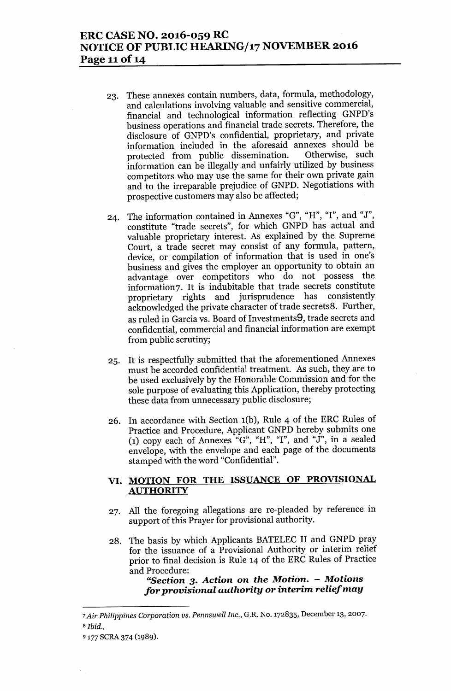# **ERC CASE NO. 2016-059 RC NOTICE OF PUBLIC HEARING/17 NOVEMBER 2016 Page 11**of 14

- 23. These annexes contain numbers, data, formula, methodology, and calculations involving valuable and sensitive commercial, financial and technological information reflecting GNPD's business operations and financial trade secrets. Therefore, the disclosure of GNPD's confidential, proprietary, and private information included in the aforesaid annexes should be protected from public dissemination. Otherwise, such information can be illegally and unfairly utilized by business competitors who may use the same for their own private gain and to the irreparable prejudice of GNPD. Negotiations with prospective customers may also be affected;
- 24. The information contained in Annexes "G", "H", "I", and "J", constitute "trade secrets", for which GNPD has actual and valuable proprietary interest. As explained by the Supreme Court, a trade secret may consist of any formula, pattern, device, or compilation of information that is used in one's business and gives the employer an opportunity to obtain an advantage over competitors who do not possess the information7. It is indubitable that trade secrets constitute proprietary rights and jurisprudence has consistently acknowledged the private character of trade secrets8. Further, as ruled in Garcia vs. Board of Investments9, trade secrets and confidential, commercial and financial information are exempt from public scrutiny;
- 25. It is respectfully submitted that the aforementioned Annexes must be accorded confidential treatment. As such, they are to be used exclusively by the Honorable Commission and for the sole purpose of evaluating this Application, thereby protecting these data from unnecessary public disclosure;
- 26. In accordance with Section 1(b), Rule 4 of the ERC Rules of Practice and Procedure, Applicant GNPD hereby submits one (1) copy each of Annexes " $G$ ", "H", "I", and "J", in a sealed envelope, with the envelope and each page of the documents stamped with the word "Confidential".

## **VI. MOTION FOR THE ISSUANCE OF PROVISIONAL AUTHORITY**

- 27. All the foregoing allegations are re-pleaded by reference in support of this Prayer for provisional authority.
- 28. The basis by which Applicants BATELEC II and GNPD pray for the issuance of a Provisional Authority or interim relief prior to final decision is Rule 14 of the ERC Rules of Practice and Procedure:

**"Section 3.** *Action* **on** *the Motion. - Motions for provisional authority or interim relief may*

*<sup>7</sup> Air Philippines Corporation us. Pennswell Inc.,* G.R. No. 172835, December 13,2007. *<sup>8</sup> Ibid.,*

<sup>9 177</sup> SCRA 374 (1989).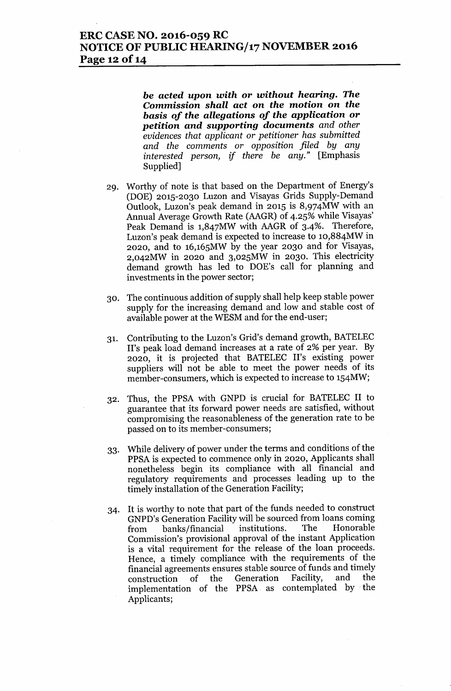## **ERC CASE NO. 2016-059 RC NOTICE OF PUBLIC HEARING/17 NOVEMBER 2016 Page 12** of 14

**be** *acted upon with* **or** *without hearing.* **The** *Commission shall act* **on** *the motion* **on** *the basis of the allegations of the application* **or** *petition and supporting documents and other evidences that applicant* or *petitioner has submitted and the comments* or *opposition filed by any interested person, if there be any."* [Emphasis Supplied]

- 29. Worthy of note is that based on the Department of Energy's (DOE) 2015-2030 Luzon and Visayas Grids Supply-Demand Outlook, Luzon's peak demand in 2015 is 8,974MW with an Annual Average Growth Rate (AAGR) of 4.25% while Visayas' Peak Demand is 1,847MW with AAGR of 3-4%. Therefore, Luzon's peak demand is expected to increase to 10,884MW in 2020, and to 16,165MW by the year 2030 and for Visayas, 2,042MW in 2020 and 3,025MW in 2030. This electricity demand growth has led to DOE's call for planning and investments in the power sector;
- 30. The continuous addition of supply shall help keep stable power supply for the increasing demand and low and stable cost of available power at the WESM and for the end-user;
- 31. Contributing to the Luzon's Grid's demand growth, BATELEC II's peak load demand increases at a rate of 2% per year. By 2020, it is projected that BATELEC II's existing power suppliers will not be able to meet the power needs of its member-consumers, which is expected to increase to 154MW;
- 32. Thus, the PPSA with GNPD is crucial for BATELEC II to guarantee that its forward power needs are satisfied, without compromising the reasonableness of the generation rate to be passed on to its member-consumers;
- 33. While delivery of power under the terms and conditions of the PPSA is expected to commence only in 2020, Applicants shall nonetheless begin its compliance with all financial and regulatory requirements and processes leading up to the timely installation of the Generation Facility;
- 34. It is worthy to note that part of the funds needed to construct GNPD's Generation Facility will be sourced from loans coming from banks/financial institutions. The Honorable Commission's provisional approval of the instant Application is a vital requirement for the release of the loan proceeds. Hence, a timely compliance with the requirements of the financial agreements ensures stable source of funds and timely construction of the Generation Facility, and the implementation of the PPSA. as contemplated by' the Applicants;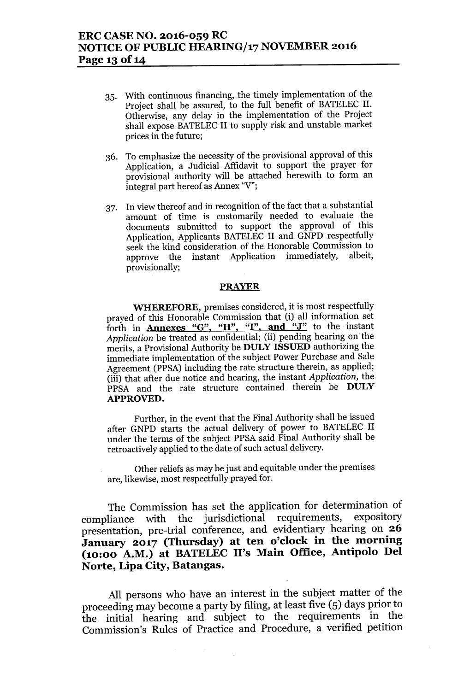- 35. With continuous financing, the timely implementation of the Project shall be assured, to the full benefit of BATELEC II. Otherwise, any delay in the implementation of the Project shall expose BATELEC II to supply risk and unstable market prices in the future; .
- 36. To emphasize the necessity of the provisional approval of this Application, a Judicial Affidavit to support the prayer for provisional authority will be attached herewith to form an integral part hereof as Annex "V";
- 37. In view thereof and in recognition of the fact that a substantial amount of time is customarily needed to evaluate the documents submitted to support the approval of this Application, Applicants BATELEC II and GNPD respectfully seek the kind consideration of the Honorable Commission to approve the instant Application immediately, albeit, provisionally;

#### PRAYER

WHEREFORE, premises considered, it is most respectfully prayed of this Honorable Commission that (i) all information set forth in **Annexes "G", "H", "I", and "J"** to the instant *Application* be treated as confidential; (ii) pending hearing on the merits, a Provisional Authority be DULY ISSUED authorizing the immediate implementation of the subject Power Purchase and Sale Agreement (PPSA) including the rate structure therein, as applied; (iii) that after due notice and hearing, the instant *Application,* the PPSA and the rate structure contained therein be DULY APPROVED.

Further, in the event that the Final Authority shall be issued after GNPD starts the actual delivery of power to BATELEC II under the terms of the subject PPSA said Final Authority shall be retroactively applied to the date of such actual delivery.

Other reliefs as may be just and equitable under the premises are, likewise, most respectfully prayed for.

The Commission has set the application for determination of compliance with the jurisdictional requirements, expository presentation, pre-trial conference, and evidentiary hearing on 26 January 2017 (Thursday) at ten o'clock in the morning (10:00 A.M.) at BATELEC II's Main Office, Antipolo Del Norte, Lipa City, Batangas.

All persons who have an interest in the subject matter of the proceeding may become a party by filing, at least five (5) days prior to the initial hearing and subject to the requirements in the Commission's Rules of Practice and Procedure, a verified petition